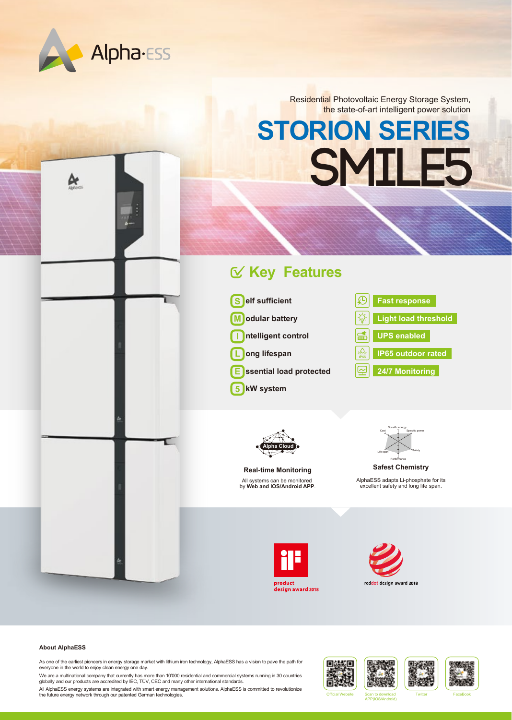

۵ř

Residential Photovoltaic Energy Storage System, the state-of-art intelligent power solution

## **STORION SERIES SMILE5**

## **Key Features**



**ssential load protected E**

**kW system 5**





All systems can be monitored by **Web and IOS/Android APP**. **Real-time Monitoring**



AlphaESS adapts Li-phosphate for its excellent safety and long life span. **Safest Chemistry**





## **About AlphaESS**

As one of the earliest pioneers in energy storage market with lithium iron technology, AlphaESS has a vision to pave the path for everyone in the world to enjoy clean energy one day.

We are a multinational company that currently has more than 10'000 residential and commercial systems running in 30 countries<br>globally and our products are accredited by IEC, TÜV, CEC and many other international standards

All AlphaESS energy systems are integrated with smart energy management solutions. AlphaESS is committed to revolutionize<br>The future energy network through our patented German technologies.









APP(IOS/Android)